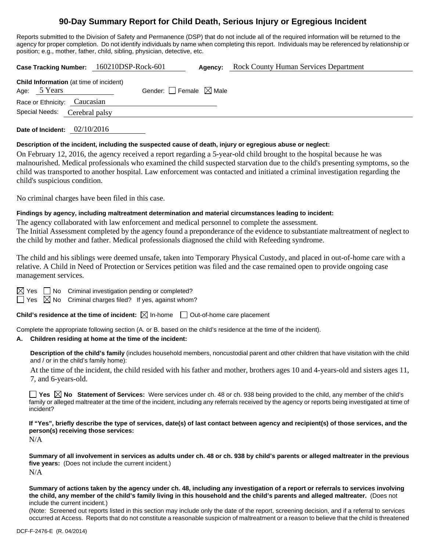# **90-Day Summary Report for Child Death, Serious Injury or Egregious Incident**

Reports submitted to the Division of Safety and Permanence (DSP) that do not include all of the required information will be returned to the agency for proper completion. Do not identify individuals by name when completing this report. Individuals may be referenced by relationship or position; e.g., mother, father, child, sibling, physician, detective, etc.

**Case Tracking Number:** 160210DSP-Rock-601 **Agency:** Rock County Human Services Department

| Age: 5 Years                                                  | <b>Child Information</b> (at time of incident) | Gender: Female $\boxtimes$ Male |
|---------------------------------------------------------------|------------------------------------------------|---------------------------------|
| Race or Ethnicity: Caucasian<br>Special Needs: Cerebral palsy |                                                |                                 |
| Date of Incident: $02/10/2016$                                |                                                |                                 |

#### **Description of the incident, including the suspected cause of death, injury or egregious abuse or neglect:**

On February 12, 2016, the agency received a report regarding a 5-year-old child brought to the hospital because he was malnourished. Medical professionals who examined the child suspected starvation due to the child's presenting symptoms, so the child was transported to another hospital. Law enforcement was contacted and initiated a criminal investigation regarding the child's suspicious condition.

No criminal charges have been filed in this case.

## **Findings by agency, including maltreatment determination and material circumstances leading to incident:**

The agency collaborated with law enforcement and medical personnel to complete the assessment. The Initial Assessment completed by the agency found a preponderance of the evidence to substantiate maltreatment of neglect to the child by mother and father. Medical professionals diagnosed the child with Refeeding syndrome.

The child and his siblings were deemed unsafe, taken into Temporary Physical Custody, and placed in out-of-home care with a relative. A Child in Need of Protection or Services petition was filed and the case remained open to provide ongoing case management services.

 $\boxtimes$  Yes  $\Box$  No Criminal investigation pending or completed?

 $\Box$  Yes  $\boxtimes$  No Criminal charges filed? If yes, against whom?

**Child's residence at the time of incident:**  $\boxtimes$  In-home  $\Box$  Out-of-home care placement

Complete the appropriate following section (A. or B. based on the child's residence at the time of the incident).

# **A. Children residing at home at the time of the incident:**

**Description of the child's family** (includes household members, noncustodial parent and other children that have visitation with the child and / or in the child's family home):

 At the time of the incident, the child resided with his father and mother, brothers ages 10 and 4-years-old and sisters ages 11, 7, and 6-years-old.

■ Yes **No** Statement of Services: Were services under ch. 48 or ch. 938 being provided to the child, any member of the child's family or alleged maltreater at the time of the incident, including any referrals received by the agency or reports being investigated at time of incident?

**If "Yes", briefly describe the type of services, date(s) of last contact between agency and recipient(s) of those services, and the person(s) receiving those services:** 

N/A

**Summary of all involvement in services as adults under ch. 48 or ch. 938 by child's parents or alleged maltreater in the previous five years:** (Does not include the current incident.) N/A

**Summary of actions taken by the agency under ch. 48, including any investigation of a report or referrals to services involving the child, any member of the child's family living in this household and the child's parents and alleged maltreater.** (Does not include the current incident.)

(Note: Screened out reports listed in this section may include only the date of the report, screening decision, and if a referral to services occurred at Access. Reports that do not constitute a reasonable suspicion of maltreatment or a reason to believe that the child is threatened